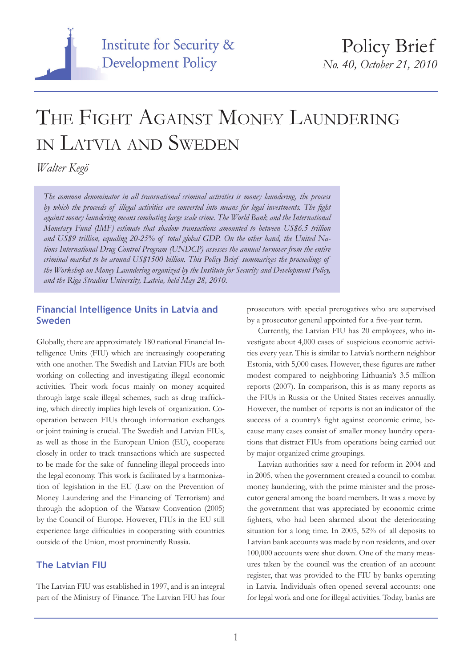

# THE FIGHT AGAINST MONEY LAUNDERING in Latvia and Sweden

*Walter Kegö*

*The common denominator in all transnational criminal activities is money laundering, the process by which the proceeds of illegal activities are converted into means for legal investments. The fight against money laundering means combating large scale crime. The World Bank and the International Monetary Fund (IMF) estimate that shadow transactions amounted to between US\$6.5 trillion and US\$9 trillion, equaling 20-25% of total global GDP. On the other hand, the United Nations International Drug Control Program (UNDCP) assesses the annual turnover from the entire criminal market to be around US\$1500 billion. This Policy Brief summarizes the proceedings of the Workshop on Money Laundering organized by the Institute for Security and Development Policy, and the Riga Stradins University, Latvia, held May 28, 2010.*

#### **Financial Intelligence Units in Latvia and Sweden**

Globally, there are approximately 180 national Financial Intelligence Units (FIU) which are increasingly cooperating with one another. The Swedish and Latvian FIUs are both working on collecting and investigating illegal economic activities. Their work focus mainly on money acquired through large scale illegal schemes, such as drug trafficking, which directly implies high levels of organization. Cooperation between FIUs through information exchanges or joint training is crucial. The Swedish and Latvian FIUs, as well as those in the European Union (EU), cooperate closely in order to track transactions which are suspected to be made for the sake of funneling illegal proceeds into the legal economy. This work is facilitated by a harmonization of legislation in the EU (Law on the Prevention of Money Laundering and the Financing of Terrorism) and through the adoption of the Warsaw Convention (2005) by the Council of Europe. However, FIUs in the EU still experience large difficulties in cooperating with countries outside of the Union, most prominently Russia.

### **The Latvian FIU**

The Latvian FIU was established in 1997, and is an integral part of the Ministry of Finance. The Latvian FIU has four

prosecutors with special prerogatives who are supervised by a prosecutor general appointed for a five-year term.

Currently, the Latvian FIU has 20 employees, who investigate about 4,000 cases of suspicious economic activities every year. This is similar to Latvia's northern neighbor Estonia, with 5,000 cases. However, these figures are rather modest compared to neighboring Lithuania's 3.5 million reports (2007). In comparison, this is as many reports as the FIUs in Russia or the United States receives annually. However, the number of reports is not an indicator of the success of a country's fight against economic crime, because many cases consist of smaller money laundry operations that distract FIUs from operations being carried out by major organized crime groupings.

Latvian authorities saw a need for reform in 2004 and in 2005, when the government created a council to combat money laundering, with the prime minister and the prosecutor general among the board members. It was a move by the government that was appreciated by economic crime fighters, who had been alarmed about the deteriorating situation for a long time. In 2005, 52% of all deposits to Latvian bank accounts was made by non residents, and over 100,000 accounts were shut down. One of the many measures taken by the council was the creation of an account register, that was provided to the FIU by banks operating in Latvia. Individuals often opened several accounts: one for legal work and one for illegal activities. Today, banks are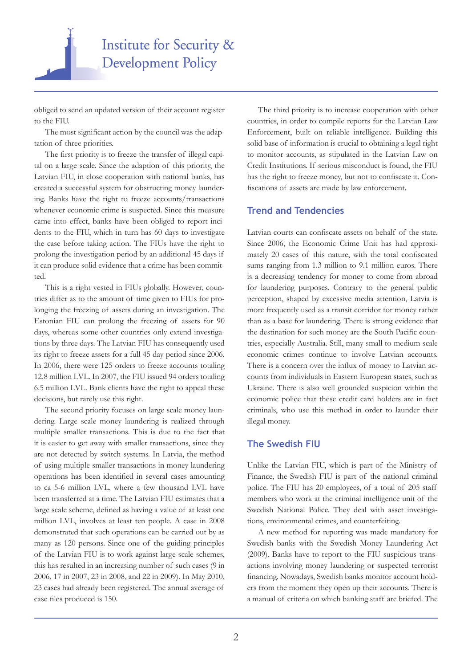

obliged to send an updated version of their account register to the FIU.

The most significant action by the council was the adaptation of three priorities.

The first priority is to freeze the transfer of illegal capital on a large scale. Since the adaption of this priority, the Latvian FIU, in close cooperation with national banks, has created a successful system for obstructing money laundering. Banks have the right to freeze accounts/transactions whenever economic crime is suspected. Since this measure came into effect, banks have been obliged to report incidents to the FIU, which in turn has 60 days to investigate the case before taking action. The FIUs have the right to prolong the investigation period by an additional 45 days if it can produce solid evidence that a crime has been committed.

This is a right vested in FIUs globally. However, countries differ as to the amount of time given to FIUs for prolonging the freezing of assets during an investigation. The Estonian FIU can prolong the freezing of assets for 90 days, whereas some other countries only extend investigations by three days. The Latvian FIU has consequently used its right to freeze assets for a full 45 day period since 2006. In 2006, there were 125 orders to freeze accounts totaling 12.8 million LVL. In 2007, the FIU issued 94 orders totaling 6.5 million LVL. Bank clients have the right to appeal these decisions, but rarely use this right.

The second priority focuses on large scale money laundering. Large scale money laundering is realized through multiple smaller transactions. This is due to the fact that it is easier to get away with smaller transactions, since they are not detected by switch systems. In Latvia, the method of using multiple smaller transactions in money laundering operations has been identified in several cases amounting to ca 5-6 million LVL, where a few thousand LVL have been transferred at a time. The Latvian FIU estimates that a large scale scheme, defined as having a value of at least one million LVL, involves at least ten people. A case in 2008 demonstrated that such operations can be carried out by as many as 120 persons. Since one of the guiding principles of the Latvian FIU is to work against large scale schemes, this has resulted in an increasing number of such cases (9 in 2006, 17 in 2007, 23 in 2008, and 22 in 2009). In May 2010, 23 cases had already been registered. The annual average of case files produced is 150.

The third priority is to increase cooperation with other countries, in order to compile reports for the Latvian Law Enforcement, built on reliable intelligence. Building this solid base of information is crucial to obtaining a legal right to monitor accounts, as stipulated in the Latvian Law on Credit Institutions. If serious misconduct is found, the FIU has the right to freeze money, but not to confiscate it. Confiscations of assets are made by law enforcement.

#### **Trend and Tendencies**

Latvian courts can confiscate assets on behalf of the state. Since 2006, the Economic Crime Unit has had approximately 20 cases of this nature, with the total confiscated sums ranging from 1.3 million to 9.1 million euros. There is a decreasing tendency for money to come from abroad for laundering purposes. Contrary to the general public perception, shaped by excessive media attention, Latvia is more frequently used as a transit corridor for money rather than as a base for laundering. There is strong evidence that the destination for such money are the South Pacific countries, especially Australia. Still, many small to medium scale economic crimes continue to involve Latvian accounts. There is a concern over the influx of money to Latvian accounts from individuals in Eastern European states, such as Ukraine. There is also well grounded suspicion within the economic police that these credit card holders are in fact criminals, who use this method in order to launder their illegal money.

#### **The Swedish FIU**

Unlike the Latvian FIU, which is part of the Ministry of Finance, the Swedish FIU is part of the national criminal police. The FIU has 20 employees, of a total of 205 staff members who work at the criminal intelligence unit of the Swedish National Police. They deal with asset investigations, environmental crimes, and counterfeiting.

A new method for reporting was made mandatory for Swedish banks with the Swedish Money Laundering Act (2009). Banks have to report to the FIU suspicious transactions involving money laundering or suspected terrorist financing. Nowadays, Swedish banks monitor account holders from the moment they open up their accounts. There is a manual of criteria on which banking staff are briefed. The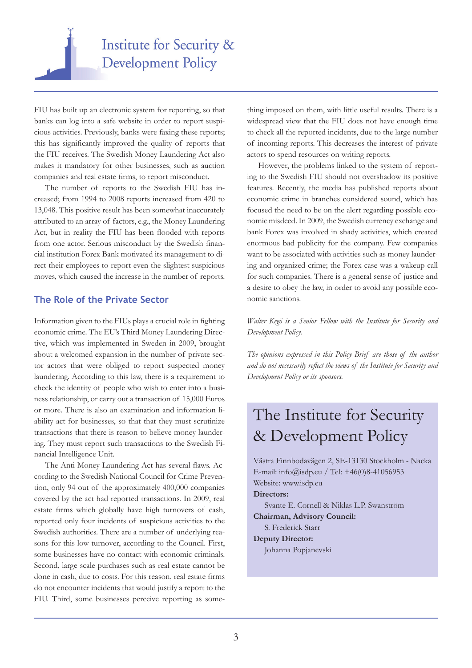

FIU has built up an electronic system for reporting, so that banks can log into a safe website in order to report suspicious activities. Previously, banks were faxing these reports; this has significantly improved the quality of reports that the FIU receives. The Swedish Money Laundering Act also makes it mandatory for other businesses, such as auction companies and real estate firms, to report misconduct.

The number of reports to the Swedish FIU has increased; from 1994 to 2008 reports increased from 420 to 13,048. This positive result has been somewhat inaccurately attributed to an array of factors, e.g., the Money Laundering Act, but in reality the FIU has been flooded with reports from one actor. Serious misconduct by the Swedish financial institution Forex Bank motivated its management to direct their employees to report even the slightest suspicious moves, which caused the increase in the number of reports.

#### **The Role of the Private Sector**

Information given to the FIUs plays a crucial role in fighting economic crime. The EU's Third Money Laundering Directive, which was implemented in Sweden in 2009, brought about a welcomed expansion in the number of private sector actors that were obliged to report suspected money laundering. According to this law, there is a requirement to check the identity of people who wish to enter into a business relationship, or carry out a transaction of 15,000 Euros or more. There is also an examination and information liability act for businesses, so that that they must scrutinize transactions that there is reason to believe money laundering. They must report such transactions to the Swedish Financial Intelligence Unit.

The Anti Money Laundering Act has several flaws. According to the Swedish National Council for Crime Prevention, only 94 out of the approximately 400,000 companies covered by the act had reported transactions. In 2009, real estate firms which globally have high turnovers of cash, reported only four incidents of suspicious activities to the Swedish authorities. There are a number of underlying reasons for this low turnover, according to the Council. First, some businesses have no contact with economic criminals. Second, large scale purchases such as real estate cannot be done in cash, due to costs. For this reason, real estate firms do not encounter incidents that would justify a report to the FIU. Third, some businesses perceive reporting as something imposed on them, with little useful results. There is a widespread view that the FIU does not have enough time to check all the reported incidents, due to the large number of incoming reports. This decreases the interest of private actors to spend resources on writing reports.

However, the problems linked to the system of reporting to the Swedish FIU should not overshadow its positive features. Recently, the media has published reports about economic crime in branches considered sound, which has focused the need to be on the alert regarding possible economic misdeed. In 2009, the Swedish currency exchange and bank Forex was involved in shady activities, which created enormous bad publicity for the company. Few companies want to be associated with activities such as money laundering and organized crime; the Forex case was a wakeup call for such companies. There is a general sense of justice and a desire to obey the law, in order to avoid any possible economic sanctions.

*Walter Kegö is a Senior Fellow with the Institute for Security and Development Policy.* 

*The opinions expressed in this Policy Brief are those of the author and do not necessarily reflect the views of the Institute for Security and Development Policy or its sponsors.*

## The Institute for Security & Development Policy

Västra Finnbodavägen 2, SE-13130 Stockholm - Nacka E-mail: info@isdp.eu / Tel: +46(0)8-41056953 Website: www.isdp.eu **Directors:** Svante E. Cornell & Niklas L.P. Swanström **Chairman, Advisory Council:**  S. Frederick Starr **Deputy Director:**  Johanna Popjanevski